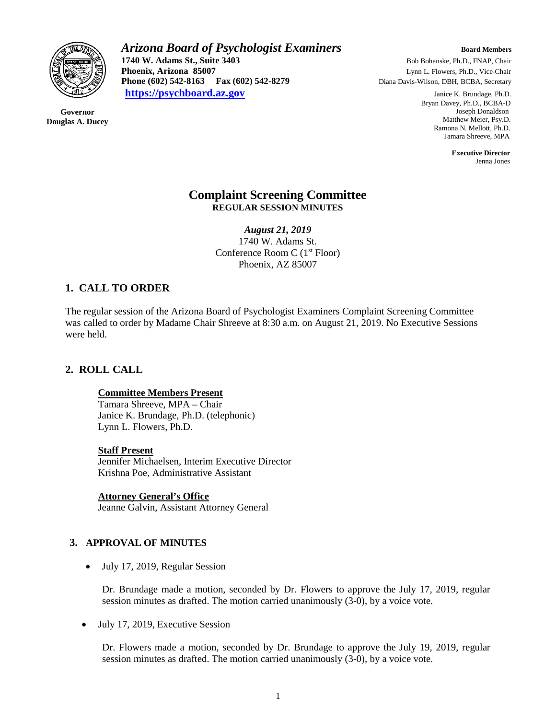

**Governor Douglas A. Ducey** *Arizona Board of Psychologist Examiners Board Members* **1740 W. Adams St., Suite 3403** Bob Bohanske, Ph.D., FNAP, Chair<br> **Phoenix, Arizona 85007** Lynn L. Flowers, Ph.D., Vice-Chair **Phoenix, Arizona 85007 Lynn L. Flowers, Ph.D., Vice-Chair Phone (602) 542-8163 Fax (602) 542-8279 Diana Davis-Wilson, DBH, BCBA, Secretary [https://psychboard.az.gov](https://psychboard.az.gov/)** Janice K. Brundage, Ph.D.

 Bryan Davey, Ph.D., BCBA-D Joseph Donaldson Matthew Meier, Psy.D. Ramona N. Mellott, Ph.D. Tamara Shreeve, MPA

 **Executive Director** Jenna Jones

## **Complaint Screening Committee REGULAR SESSION MINUTES**

*August 21, 2019* 1740 W. Adams St. Conference Room C (1st Floor) Phoenix, AZ 85007

# **1. CALL TO ORDER**

The regular session of the Arizona Board of Psychologist Examiners Complaint Screening Committee was called to order by Madame Chair Shreeve at 8:30 a.m. on August 21, 2019. No Executive Sessions were held.

# **2. ROLL CALL**

## **Committee Members Present**

Tamara Shreeve, MPA – Chair Janice K. Brundage, Ph.D. (telephonic) Lynn L. Flowers, Ph.D.

## **Staff Present**

Jennifer Michaelsen, Interim Executive Director Krishna Poe, Administrative Assistant

**Attorney General's Office**

Jeanne Galvin, Assistant Attorney General

# **3. APPROVAL OF MINUTES**

• July 17, 2019, Regular Session

Dr. Brundage made a motion, seconded by Dr. Flowers to approve the July 17, 2019, regular session minutes as drafted. The motion carried unanimously (3-0), by a voice vote.

• July 17, 2019, Executive Session

Dr. Flowers made a motion, seconded by Dr. Brundage to approve the July 19, 2019, regular session minutes as drafted. The motion carried unanimously (3-0), by a voice vote.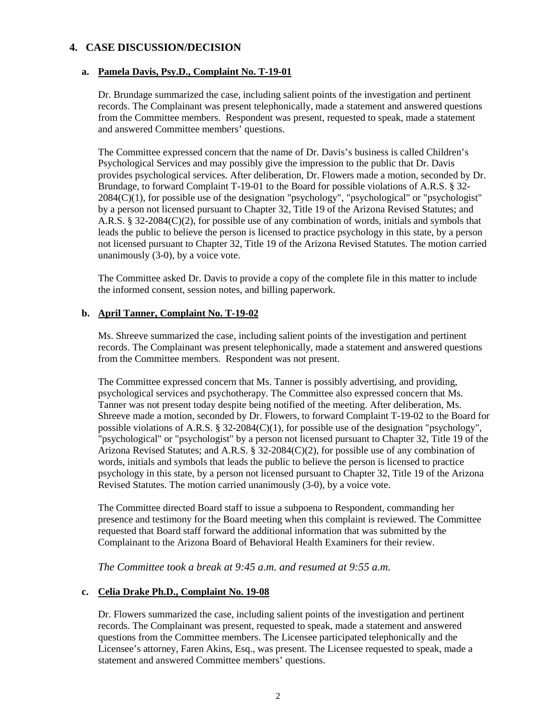# **4. CASE DISCUSSION/DECISION**

#### **a. Pamela Davis, Psy.D., Complaint No. T-19-01**

Dr. Brundage summarized the case, including salient points of the investigation and pertinent records. The Complainant was present telephonically, made a statement and answered questions from the Committee members. Respondent was present, requested to speak, made a statement and answered Committee members' questions.

The Committee expressed concern that the name of Dr. Davis's business is called Children's Psychological Services and may possibly give the impression to the public that Dr. Davis provides psychological services. After deliberation, Dr. Flowers made a motion, seconded by Dr. Brundage, to forward Complaint T-19-01 to the Board for possible violations of A.R.S. § 32- 2084(C)(1), for possible use of the designation "psychology", "psychological" or "psychologist" by a person not licensed pursuant to Chapter 32, Title 19 of the Arizona Revised Statutes; and A.R.S. § 32-2084(C)(2), for possible use of any combination of words, initials and symbols that leads the public to believe the person is licensed to practice psychology in this state, by a person not licensed pursuant to Chapter 32, Title 19 of the Arizona Revised Statutes. The motion carried unanimously (3-0), by a voice vote.

The Committee asked Dr. Davis to provide a copy of the complete file in this matter to include the informed consent, session notes, and billing paperwork.

## **b. April Tanner, Complaint No. T-19-02**

Ms. Shreeve summarized the case, including salient points of the investigation and pertinent records. The Complainant was present telephonically, made a statement and answered questions from the Committee members. Respondent was not present.

The Committee expressed concern that Ms. Tanner is possibly advertising, and providing, psychological services and psychotherapy. The Committee also expressed concern that Ms. Tanner was not present today despite being notified of the meeting. After deliberation, Ms. Shreeve made a motion, seconded by Dr. Flowers, to forward Complaint T-19-02 to the Board for possible violations of A.R.S. § 32-2084(C)(1), for possible use of the designation "psychology", "psychological" or "psychologist" by a person not licensed pursuant to Chapter 32, Title 19 of the Arizona Revised Statutes; and A.R.S. § 32-2084(C)(2), for possible use of any combination of words, initials and symbols that leads the public to believe the person is licensed to practice psychology in this state, by a person not licensed pursuant to Chapter 32, Title 19 of the Arizona Revised Statutes. The motion carried unanimously (3-0), by a voice vote.

The Committee directed Board staff to issue a subpoena to Respondent, commanding her presence and testimony for the Board meeting when this complaint is reviewed. The Committee requested that Board staff forward the additional information that was submitted by the Complainant to the Arizona Board of Behavioral Health Examiners for their review.

*The Committee took a break at 9:45 a.m. and resumed at 9:55 a.m.*

## **c. Celia Drake Ph.D., Complaint No. 19-08**

Dr. Flowers summarized the case, including salient points of the investigation and pertinent records. The Complainant was present, requested to speak, made a statement and answered questions from the Committee members. The Licensee participated telephonically and the Licensee's attorney, Faren Akins, Esq., was present. The Licensee requested to speak, made a statement and answered Committee members' questions.